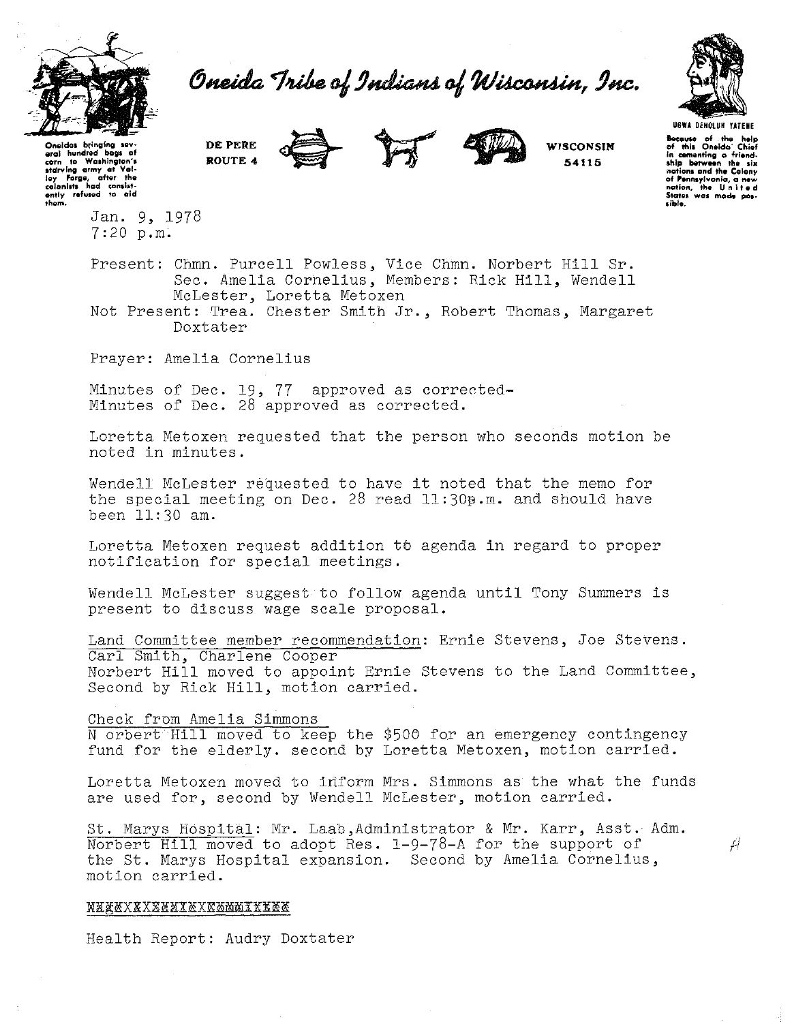

Oneida Tribe of Indians of Wisconsin, Inc.



**hocouse of the help of this Oneida' Chief in comenting a friend-**<br>In comenting a friend-<br>ship between the six **nations and tho Colony of Pennsylvania, a new nation, the United States was mode pos-**<br>States was mode pos-<br>sible.

WISCONSIN 54115

**Oneidas btinglng IQY• aral** hundr~d **bags of corn to Washington's**  starving army at Val-<br>lay Forge, after the<br>colanists had consist-<br>ently refused to aid th~m.

> Jan. 9, 1978 7:20 p.m.

Present: Chmn. Purcell Powless, Vice Chmn. Norbert Hill Sr. Sec. Amelia Cornelius, Members: Rick Hill, Wendell McLester, Loretta Metoxen

Not Present: Trea. Chester Smith Jr., Robert Thomas, Margaret Doxtater

Prayer: Amelia Cornelius

DE PERE ROUTE 4

Minutes of Dec. 19, 77 approved as corrected-Minutes of Dec. 28 approved as corrected.

Loretta Metoxen requested that the person who seconds motion be noted in minutes.

Wendell McLester requested to have it noted that the memo for the special meeting on Dec.  $28$  read  $11:30$  $9\ldots$  and should have been 11:30 am.

Loretta Metoxen request addition to agenda in regard to proper notification for special meetings.

Wendell McLester suggest to follow agenda until Tony Summers is present to discuss wage scale proposal.

Land Committee member recommendation: Ernie Stevens, Joe Stevens. Carl Smith, Charlene Cooper Norbert Hill moved to appoint Ernie Stevens to the Land Committee, Second by Rick Hill, motion carried.

Check from Amelia Simmons

N orbert Hill moved to keep the \$506 for an emergency contingency fund for the elderly. second by Loretta Metoxen, motion carried.

Loretta Metoxen moved to inform Mrs. Simmons as the what the funds are used for, second by Wendell McLester, motion carried.

St. Marys Hospital: Mr. Laab,Administrator & Mr. Karr, Asst. Adm. Norbert Hill moved to adopt Res. 1-9-78-A for the support of  $\overrightarrow{A}$ the St. Marys Hospital expansion. Second by Amelia Cornelius, motion carried.

### NAXXXXXXXXXXXXXXXXXXXX

Health Report: Audry Doxtater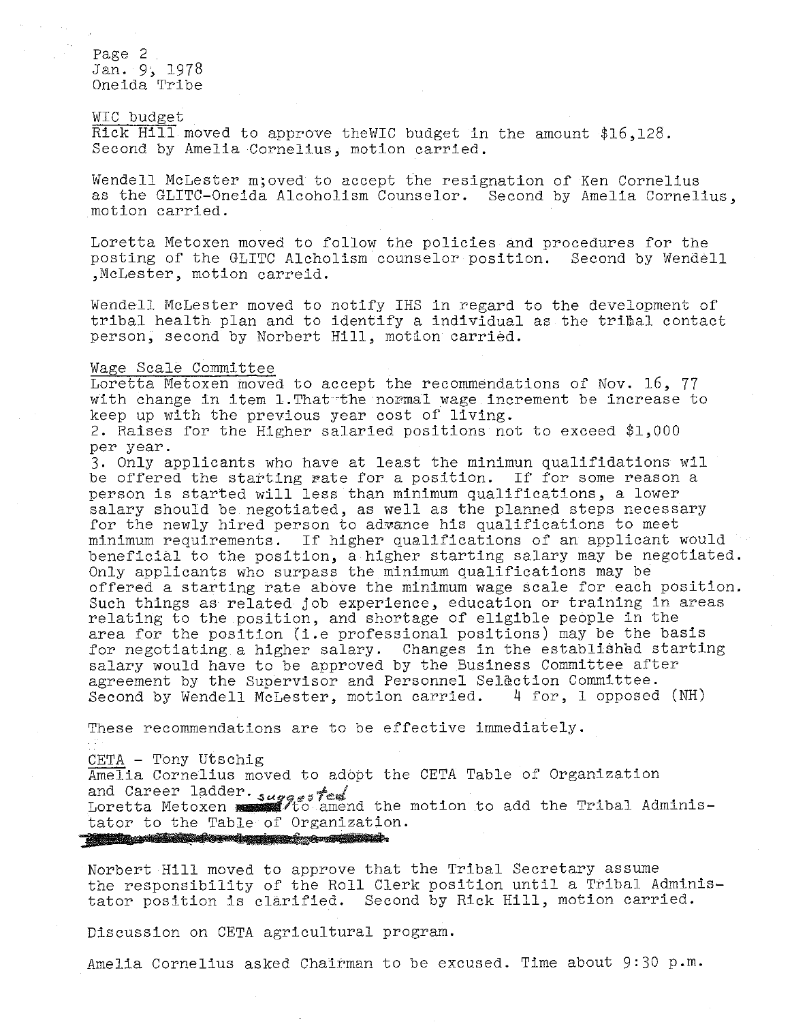Page 2 Jan. 9, 1978 Oneida Tribe

WIC budget Rick Hill moved to approve theWIC budget in the amount \$16,128. Second by Amelia Cornelius, motion carried.

Wendell McLester m; oved to accept the resignation of Ken Cornelius as the GLITC-Oneida Alcoholism Counselor. Second by Amelia Cornelius, motion carried.

Loretta Metoxen moved to follow the policies and procedures for the posting of the GLITC Alcholism counselor position. Second by Wendell ,McLester, motion carreid.

Wendell McLester moved to notify IHS in regard to the development of tribal health plan and to identify a individual as the tribal contact person, second by Norbert Hill, motion carried.

## Wage Scale Committee

Loretta Metoxen moved to accept the recommendations of Nov. 16, 77 with change in item 1. That the normal wage increment be increase to keep up with the previous year cost of living.

2. Raises for the Higher salaried positions not to exceed \$1,000 per year.

3. Only applicants who have at least the minimun qualifidations wil be offered the starting rate for a position. If for some reason a person is started will less than minimum qualifications, a lower salary should be negotiated, as well as the planned steps necessary for the newly hired person to adwance his qualifications to meet minimum requirements. If higher qualifications of an applicant would beneficial to the position, a higher starting salary may be negotiated. Only applicants who surpass the minimum qualifications may be offered a starting rate above the minimum wage scale for each position. Such things as related job experience, education or training in areas relating to the position, and shortage of eligible people in the area for the position (i.e professional positions) may be the basis for negotiating a higher salary. Changes in the established starting salary would have to be approved by the Business Committee after agreement by the Supervisor and Personnel Selection Committee. Second by Wendell McLester, motion carried.  $4 ~$  for, 1 opposed (NH)

These recommendations are to be effective immediately.

CETA - Tony Utschig

Amelia Cornelius moved to adopt the CETA Table of Organization and Career ladder. suggested<br>Loretta Metoxen . suggested amend the motion to add the Tribal Administator to the Table of Organization. j je postava na postava na postava na postava na postava na postava na postava na postava na postava na postav

Norbert Hill moved to approve that the Tribal Secretary assume the responsibility of the Roll Clerk position until a Tribal Administator position is clarified. Second by Rick Hill, motion carried.

Discussion on CETA agricultural program.

Amelia Cornelius asked Chairman to be excused. Time about 9:30 p.m.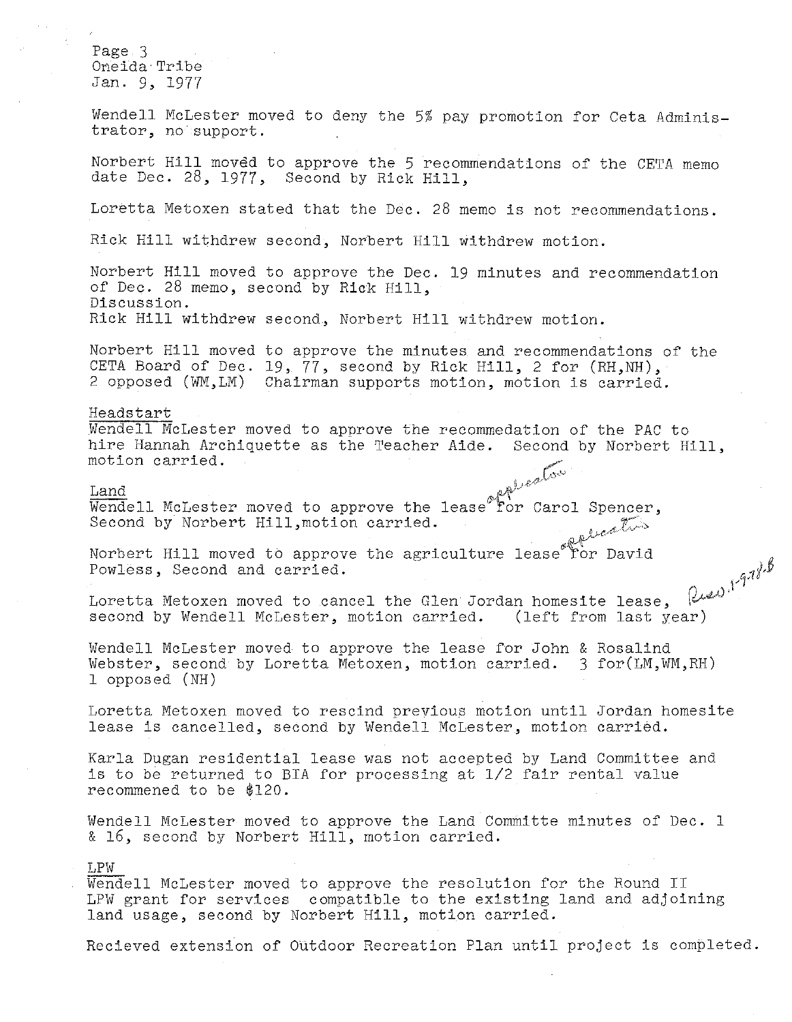Page 3 Oneida Tribe Jan. 9, 1977

Wendell McLester moved to deny the 5% pay promotion for Ceta Administrator, no support.

Norbert Hill moved to approve the 5 recommendations of the CETA memo date Dec. 28, 1977, Second by Rick Hill,

Loretta Metoxen stated that the Dec. 28 memo is not recommendations.

Rick Hill withdrew second, Norbert Hill withdrew motion.

Norbert Hill moved to approve the Dec. 19 minutes and recommendation of Dec. 28 memo, second by Rick Hill, Discussion. Rick Hill withdrew second, Norbert Hill withdrew motion.

Norbert Hill moved to approve the minutes and recommendations of the CETA Board of Dec. 19, 77, second by Rick Hill, 2 for (RH,NH), 2 opposed (WM,LM) Chairman supports motion, motion is carried.

## Heads tart

Wendell McLester moved to approve the recommedation of the PAC to hire Hannah Archiquette as the Teacher Aide. Second by Norbert Hill, motion carried. motion carried.

# $\frac{1}{2}$   $\frac{1}{2}$   $\frac{1}{2}$   $\frac{1}{2}$   $\frac{1}{2}$   $\frac{1}{2}$   $\frac{1}{2}$   $\frac{1}{2}$   $\frac{1}{2}$   $\frac{1}{2}$   $\frac{1}{2}$   $\frac{1}{2}$   $\frac{1}{2}$   $\frac{1}{2}$   $\frac{1}{2}$   $\frac{1}{2}$   $\frac{1}{2}$   $\frac{1}{2}$   $\frac{1}{2}$   $\frac{1}{2}$   $\frac{1}{2}$   $\frac{1}{2}$

Wendell McLester moved to approve the lease for Carol Second by Norbert Hill,motion carried.

Norbert Hill moved to approve the agriculture ືror David Powless, Second and carried.

Rues, 1-9-18.B Loretta Metoxen moved to cancel the Glen Jordan homesite lease, second by Wendell McLester, motion carried. (left from last year)

Wendell McLester moved to approve the lease for John & Rosalind Webster, second by Loretta Metoxen, motion carried. 3 for(LM,WM,RH) 1 opposed (NH)

Loretta Metoxen moved to rescind previous motion until Jordan homesite lease is cancelled, second by Wendell McLester, motion carried.

Karla Dugan residential lease was not accepted by Land Committee and is to be returned to BIA for processing at 1/2 fair rental value recommened to be \$120.

Wendell McLester moved to approve the Land Committe minutes of Dec. 1 & 16, second by Norbert Hill, motion carried.

## LPW

Wendell McLester moved to approve the resolution for the Round II LPW grant for services compatible to the existing land and adjoining land usage, second by Norbert Hill, motion carried.

Recieved extension of Outdoor Recreation Plan until project is completed.